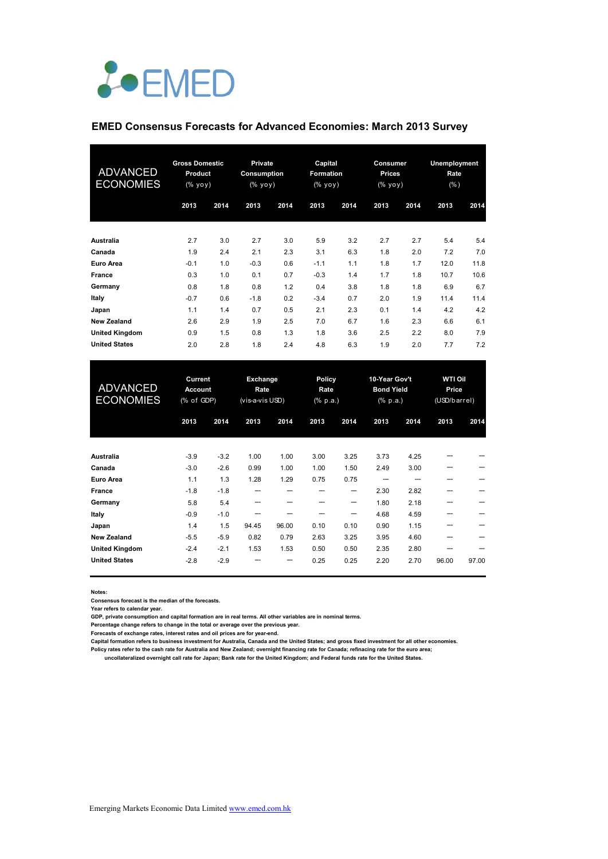

#### **EMED Consensus Forecasts for Advanced Economies: March 2013 Survey**

| ADVANCED<br><b>ECONOMIES</b> | <b>Gross Domestic</b><br>Product<br>(% yoy) |      | <b>Private</b><br><b>Consumption</b><br>(% yoy) |      | Capital<br><b>Formation</b><br>(% yoy) |      | Consumer<br><b>Prices</b><br>(% yoy) |      | Unemployment<br>Rate<br>(% ) |      |
|------------------------------|---------------------------------------------|------|-------------------------------------------------|------|----------------------------------------|------|--------------------------------------|------|------------------------------|------|
|                              | 2013                                        | 2014 | 2013                                            | 2014 | 2013                                   | 2014 | 2013                                 | 2014 | 2013                         | 2014 |
| Australia                    | 2.7                                         | 3.0  | 2.7                                             | 3.0  | 5.9                                    | 3.2  | 2.7                                  | 2.7  | 5.4                          | 5.4  |
| Canada                       | 1.9                                         | 2.4  | 2.1                                             | 2.3  | 3.1                                    | 6.3  | 1.8                                  | 2.0  | 7.2                          | 7.0  |
| <b>Euro Area</b>             | $-0.1$                                      | 1.0  | $-0.3$                                          | 0.6  | $-1.1$                                 | 1.1  | 1.8                                  | 1.7  | 12.0                         | 11.8 |
| <b>France</b>                | 0.3                                         | 1.0  | 0.1                                             | 0.7  | $-0.3$                                 | 1.4  | 1.7                                  | 1.8  | 10.7                         | 10.6 |
| Germany                      | 0.8                                         | 1.8  | 0.8                                             | 1.2  | 0.4                                    | 3.8  | 1.8                                  | 1.8  | 6.9                          | 6.7  |
| Italy                        | $-0.7$                                      | 0.6  | $-1.8$                                          | 0.2  | $-3.4$                                 | 0.7  | 2.0                                  | 1.9  | 11.4                         | 11.4 |
| Japan                        | 1.1                                         | 1.4  | 0.7                                             | 0.5  | 2.1                                    | 2.3  | 0.1                                  | 1.4  | 4.2                          | 4.2  |
| <b>New Zealand</b>           | 2.6                                         | 2.9  | 1.9                                             | 2.5  | 7.0                                    | 6.7  | 1.6                                  | 2.3  | 6.6                          | 6.1  |
| <b>United Kingdom</b>        | 0.9                                         | 1.5  | 0.8                                             | 1.3  | 1.8                                    | 3.6  | 2.5                                  | 2.2  | 8.0                          | 7.9  |
| <b>United States</b>         | 2.0                                         | 2.8  | 1.8                                             | 2.4  | 4.8                                    | 6.3  | 1.9                                  | 2.0  | 7.7                          | 7.2  |

| <b>ADVANCED</b><br><b>ECONOMIES</b> | Current<br><b>Account</b><br>(% of GDP) |        | Exchange<br>Rate<br>(vis-a-vis USD) |       | <b>Policy</b><br>Rate<br>(% p.a.) |      | 10-Year Gov't<br><b>Bond Yield</b><br>$(% \mathbf{a})$ (% p.a.) |      | <b>WTI Oil</b><br>Price<br>(USD/barrel) |       |
|-------------------------------------|-----------------------------------------|--------|-------------------------------------|-------|-----------------------------------|------|-----------------------------------------------------------------|------|-----------------------------------------|-------|
|                                     | 2013                                    | 2014   | 2013                                | 2014  | 2013                              | 2014 | 2013                                                            | 2014 | 2013                                    | 2014  |
| Australia                           | $-3.9$                                  | $-3.2$ | 1.00                                | 1.00  | 3.00                              | 3.25 | 3.73                                                            | 4.25 |                                         |       |
| Canada                              | $-3.0$                                  | $-2.6$ | 0.99                                | 1.00  | 1.00                              | 1.50 | 2.49                                                            | 3.00 |                                         |       |
| Euro Area                           | 1.1                                     | 1.3    | 1.28                                | 1.29  | 0.75                              | 0.75 |                                                                 |      |                                         |       |
| <b>France</b>                       | $-1.8$                                  | $-1.8$ | ---                                 |       |                                   | --   | 2.30                                                            | 2.82 |                                         |       |
| Germany                             | 5.8                                     | 5.4    | ---                                 |       |                                   | --   | 1.80                                                            | 2.18 |                                         |       |
| Italy                               | $-0.9$                                  | $-1.0$ |                                     |       |                                   | ---  | 4.68                                                            | 4.59 |                                         |       |
| Japan                               | 1.4                                     | 1.5    | 94.45                               | 96.00 | 0.10                              | 0.10 | 0.90                                                            | 1.15 |                                         |       |
| <b>New Zealand</b>                  | $-5.5$                                  | $-5.9$ | 0.82                                | 0.79  | 2.63                              | 3.25 | 3.95                                                            | 4.60 |                                         |       |
| <b>United Kingdom</b>               | $-2.4$                                  | $-2.1$ | 1.53                                | 1.53  | 0.50                              | 0.50 | 2.35                                                            | 2.80 |                                         |       |
| <b>United States</b>                | $-2.8$                                  | $-2.9$ |                                     | ---   | 0.25                              | 0.25 | 2.20                                                            | 2.70 | 96.00                                   | 97.00 |

**Notes:** 

**Consensus forecast is the median of the forecasts.**

**Year refers to calendar year.**

**GDP, private consumption and capital formation are in real terms. All other variables are in nominal terms.**

**Percentage change refers to change in the total or average over the previous year.**

**Forecasts of exchange rates, interest rates and oil prices are for year-end.**

**Capital formation refers to business investment for Australia, Canada and the United States; and gross fixed investment for all other economies. Policy rates refer to the cash rate for Australia and New Zealand; overnight financing rate for Canada; refinacing rate for the euro area;** 

 **uncollateralized overnight call rate for Japan; Bank rate for the United Kingdom; and Federal funds rate for the United States.**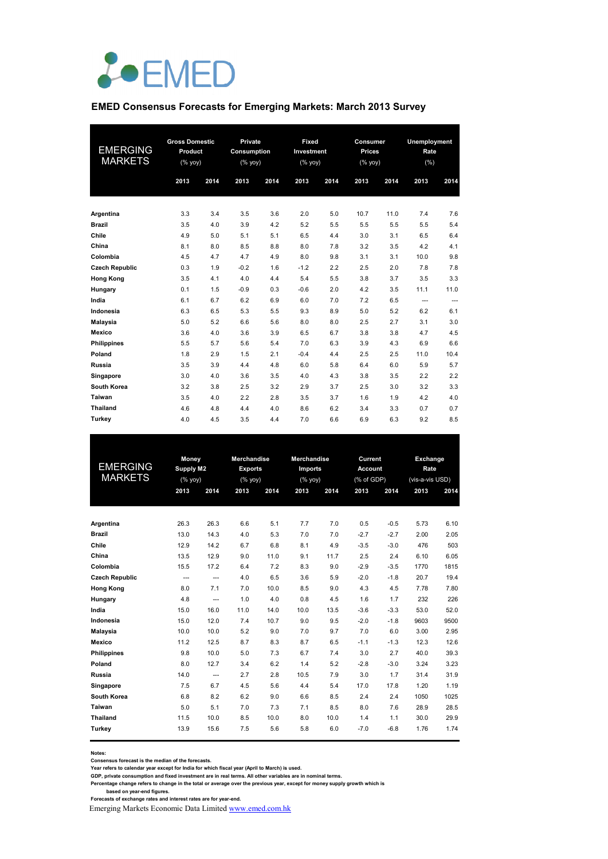

#### **EMED Consensus Forecasts for Emerging Markets: March 2013 Survey**

| <b>EMERGING</b><br><b>MARKETS</b> | <b>Gross Domestic</b><br>Product<br>$(% \mathsf{Y}^{\prime }\mathsf{Y}^{\prime }\mathsf{Y}^{\prime })$ |      |        |      | Private<br>Consumption<br>$(%$ yoy) |      | <b>Fixed</b><br>Investment<br>(% |      | Consumer<br><b>Prices</b><br>(% yoy) |      | Unemployment<br>Rate<br>(% ) |  |
|-----------------------------------|--------------------------------------------------------------------------------------------------------|------|--------|------|-------------------------------------|------|----------------------------------|------|--------------------------------------|------|------------------------------|--|
|                                   | 2013                                                                                                   | 2014 | 2013   | 2014 | 2013                                | 2014 | 2013                             | 2014 | 2013                                 | 2014 |                              |  |
| Argentina                         | 3.3                                                                                                    | 3.4  | 3.5    | 3.6  | 2.0                                 | 5.0  | 10.7                             | 11.0 | 7.4                                  | 7.6  |                              |  |
| <b>Brazil</b>                     | 3.5                                                                                                    | 4.0  | 3.9    | 4.2  | 5.2                                 | 5.5  | 5.5                              | 5.5  | 5.5                                  | 5.4  |                              |  |
| Chile                             | 4.9                                                                                                    | 5.0  | 5.1    | 5.1  | 6.5                                 | 4.4  | 3.0                              | 3.1  | 6.5                                  | 6.4  |                              |  |
| China                             | 8.1                                                                                                    | 8.0  | 8.5    | 8.8  | 8.0                                 | 7.8  | 3.2                              | 3.5  | 4.2                                  | 4.1  |                              |  |
| Colombia                          | 4.5                                                                                                    | 4.7  | 4.7    | 4.9  | 8.0                                 | 9.8  | 3.1                              | 3.1  | 10.0                                 | 9.8  |                              |  |
| <b>Czech Republic</b>             | 0.3                                                                                                    | 1.9  | $-0.2$ | 1.6  | $-1.2$                              | 2.2  | 2.5                              | 2.0  | 7.8                                  | 7.8  |                              |  |
| <b>Hong Kong</b>                  | 3.5                                                                                                    | 4.1  | 4.0    | 4.4  | 5.4                                 | 5.5  | 3.8                              | 3.7  | 3.5                                  | 3.3  |                              |  |
| Hungary                           | 0.1                                                                                                    | 1.5  | $-0.9$ | 0.3  | $-0.6$                              | 2.0  | 4.2                              | 3.5  | 11.1                                 | 11.0 |                              |  |
| India                             | 6.1                                                                                                    | 6.7  | 6.2    | 6.9  | 6.0                                 | 7.0  | 7.2                              | 6.5  | ---                                  | ---  |                              |  |
| Indonesia                         | 6.3                                                                                                    | 6.5  | 5.3    | 5.5  | 9.3                                 | 8.9  | 5.0                              | 5.2  | 6.2                                  | 6.1  |                              |  |
| <b>Malaysia</b>                   | 5.0                                                                                                    | 5.2  | 6.6    | 5.6  | 8.0                                 | 8.0  | 2.5                              | 2.7  | 3.1                                  | 3.0  |                              |  |
| Mexico                            | 3.6                                                                                                    | 4.0  | 3.6    | 3.9  | 6.5                                 | 6.7  | 3.8                              | 3.8  | 4.7                                  | 4.5  |                              |  |
| <b>Philippines</b>                | 5.5                                                                                                    | 5.7  | 5.6    | 5.4  | 7.0                                 | 6.3  | 3.9                              | 4.3  | 6.9                                  | 6.6  |                              |  |
| Poland                            | 1.8                                                                                                    | 2.9  | 1.5    | 2.1  | $-0.4$                              | 4.4  | 2.5                              | 2.5  | 11.0                                 | 10.4 |                              |  |
| Russia                            | 3.5                                                                                                    | 3.9  | 4.4    | 4.8  | 6.0                                 | 5.8  | 6.4                              | 6.0  | 5.9                                  | 5.7  |                              |  |
| Singapore                         | 3.0                                                                                                    | 4.0  | 3.6    | 3.5  | 4.0                                 | 4.3  | 3.8                              | 3.5  | 2.2                                  | 2.2  |                              |  |
| South Korea                       | 3.2                                                                                                    | 3.8  | 2.5    | 3.2  | 2.9                                 | 3.7  | 2.5                              | 3.0  | 3.2                                  | 3.3  |                              |  |
| Taiwan                            | 3.5                                                                                                    | 4.0  | 2.2    | 2.8  | 3.5                                 | 3.7  | 1.6                              | 1.9  | 4.2                                  | 4.0  |                              |  |
| <b>Thailand</b>                   | 4.6                                                                                                    | 4.8  | 4.4    | 4.0  | 8.6                                 | 6.2  | 3.4                              | 3.3  | 0.7                                  | 0.7  |                              |  |
| Turkey                            | 4.0                                                                                                    | 4.5  | 3.5    | 4.4  | 7.0                                 | 6.6  | 6.9                              | 6.3  | 9.2                                  | 8.5  |                              |  |

|                       | Money     |                          | <b>Merchandise</b> |      | <b>Merchandise</b> |      | Current        |        | Exchange        |      |
|-----------------------|-----------|--------------------------|--------------------|------|--------------------|------|----------------|--------|-----------------|------|
| <b>EMERGING</b>       | Supply M2 |                          | <b>Exports</b>     |      | <b>Imports</b>     |      | <b>Account</b> |        | Rate            |      |
| <b>MARKETS</b>        | (% yoy)   |                          | (%                 |      | (%                 |      | (% of GDP)     |        | (vis-a-vis USD) |      |
|                       | 2013      | 2014                     | 2013               | 2014 | 2013               | 2014 | 2013           | 2014   | 2013            | 2014 |
|                       |           |                          |                    |      |                    |      |                |        |                 |      |
| Argentina             | 26.3      | 26.3                     | 6.6                | 5.1  | 7.7                | 7.0  | 0.5            | $-0.5$ | 5.73            | 6.10 |
| <b>Brazil</b>         | 13.0      | 14.3                     | 4.0                | 5.3  | 7.0                | 7.0  | $-2.7$         | $-2.7$ | 2.00            | 2.05 |
| Chile                 | 12.9      | 14.2                     | 6.7                | 6.8  | 8.1                | 4.9  | $-3.5$         | $-3.0$ | 476             | 503  |
| China                 | 13.5      | 12.9                     | 9.0                | 11.0 | 9.1                | 11.7 | 2.5            | 2.4    | 6.10            | 6.05 |
| Colombia              | 15.5      | 17.2                     | 6.4                | 7.2  | 8.3                | 9.0  | $-2.9$         | $-3.5$ | 1770            | 1815 |
| <b>Czech Republic</b> | ---       | $\hspace{0.05cm} \ldots$ | 4.0                | 6.5  | 3.6                | 5.9  | $-2.0$         | $-1.8$ | 20.7            | 19.4 |
| <b>Hong Kong</b>      | 8.0       | 7.1                      | 7.0                | 10.0 | 8.5                | 9.0  | 4.3            | 4.5    | 7.78            | 7.80 |
| Hungary               | 4.8       | ---                      | 1.0                | 4.0  | 0.8                | 4.5  | 1.6            | 1.7    | 232             | 226  |
| India                 | 15.0      | 16.0                     | 11.0               | 14.0 | 10.0               | 13.5 | $-3.6$         | $-3.3$ | 53.0            | 52.0 |
| Indonesia             | 15.0      | 12.0                     | 7.4                | 10.7 | 9.0                | 9.5  | $-2.0$         | $-1.8$ | 9603            | 9500 |
| <b>Malaysia</b>       | 10.0      | 10.0                     | 5.2                | 9.0  | 7.0                | 9.7  | 7.0            | 6.0    | 3.00            | 2.95 |
| Mexico                | 11.2      | 12.5                     | 8.7                | 8.3  | 8.7                | 6.5  | $-1.1$         | $-1.3$ | 12.3            | 12.6 |
| <b>Philippines</b>    | 9.8       | 10.0                     | 5.0                | 7.3  | 6.7                | 7.4  | 3.0            | 2.7    | 40.0            | 39.3 |
| Poland                | 8.0       | 12.7                     | 3.4                | 6.2  | 1.4                | 5.2  | $-2.8$         | $-3.0$ | 3.24            | 3.23 |
| Russia                | 14.0      | $\hspace{0.05cm} \ldots$ | 2.7                | 2.8  | 10.5               | 7.9  | 3.0            | 1.7    | 31.4            | 31.9 |
| Singapore             | 7.5       | 6.7                      | 4.5                | 5.6  | 4.4                | 5.4  | 17.0           | 17.8   | 1.20            | 1.19 |
| South Korea           | 6.8       | 8.2                      | 6.2                | 9.0  | 6.6                | 8.5  | 2.4            | 2.4    | 1050            | 1025 |
| Taiwan                | 5.0       | 5.1                      | 7.0                | 7.3  | 7.1                | 8.5  | 8.0            | 7.6    | 28.9            | 28.5 |
| <b>Thailand</b>       | 11.5      | 10.0                     | 8.5                | 10.0 | 8.0                | 10.0 | 1.4            | 1.1    | 30.0            | 29.9 |
| Turkey                | 13.9      | 15.6                     | 7.5                | 5.6  | 5.8                | 6.0  | $-7.0$         | $-6.8$ | 1.76            | 1.74 |
|                       |           |                          |                    |      |                    |      |                |        |                 |      |

**Notes:** 

Consensus forecast is the median of the forecasts.<br>Year refers to calendar year except for India for which fiscal year (April to March) is used.<br>GDP, private consumption and fixed investment are in real terms. All other va

Percentage change refers to change in the total or average over the previous year, except for money supply growth which is<br>based on year-end figures.<br>Forecasts of exchange rates and interest rates are for year-end.

Emerging Markets Economic Data Limited www.emed.com.hk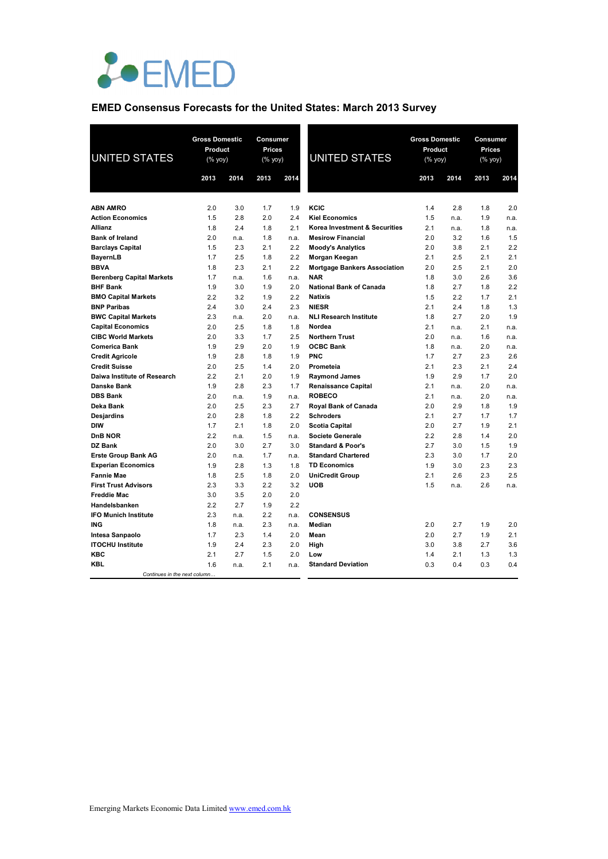

# **EMED Consensus Forecasts for the United States: March 2013 Survey**

| <b>UNITED STATES</b>             | <b>Gross Domestic</b><br>Product<br>(% yoy) |      | <b>Consumer</b><br><b>Prices</b><br>(% yoy) |      | <b>UNITED STATES</b>                | <b>Gross Domestic</b><br>Product<br>(% yoy) |      | Consumer<br>Prices<br>(% yoy) |      |
|----------------------------------|---------------------------------------------|------|---------------------------------------------|------|-------------------------------------|---------------------------------------------|------|-------------------------------|------|
|                                  | 2013                                        | 2014 | 2013                                        | 2014 |                                     | 2013                                        | 2014 | 2013                          | 2014 |
|                                  |                                             |      |                                             |      |                                     |                                             |      |                               |      |
| <b>ABN AMRO</b>                  | 2.0                                         | 3.0  | 1.7                                         | 1.9  | KCIC                                | 1.4                                         | 2.8  | 1.8                           | 2.0  |
| <b>Action Economics</b>          | 1.5                                         | 2.8  | 2.0                                         | 2.4  | <b>Kiel Economics</b>               | 1.5                                         | n.a. | 1.9                           | n.a. |
| Allianz                          | 1.8                                         | 2.4  | 1.8                                         | 2.1  | Korea Investment & Securities       | 2.1                                         | n.a. | 1.8                           | n.a. |
| <b>Bank of Ireland</b>           | 2.0                                         | n.a. | 1.8                                         | n.a. | <b>Mesirow Financial</b>            | 2.0                                         | 3.2  | 1.6                           | 1.5  |
| <b>Barclays Capital</b>          | 1.5                                         | 2.3  | 2.1                                         | 2.2  | <b>Moody's Analytics</b>            | 2.0                                         | 3.8  | 2.1                           | 2.2  |
| <b>BayernLB</b>                  | 1.7                                         | 2.5  | 1.8                                         | 2.2  | Morgan Keegan                       | 2.1                                         | 2.5  | 2.1                           | 2.1  |
| <b>BBVA</b>                      | 1.8                                         | 2.3  | 2.1                                         | 2.2  | <b>Mortgage Bankers Association</b> | 2.0                                         | 2.5  | 2.1                           | 2.0  |
| <b>Berenberg Capital Markets</b> | 1.7                                         | n.a. | 1.6                                         | n.a. | <b>NAR</b>                          | 1.8                                         | 3.0  | 2.6                           | 3.6  |
| <b>BHF Bank</b>                  | 1.9                                         | 3.0  | 1.9                                         | 2.0  | <b>National Bank of Canada</b>      | 1.8                                         | 2.7  | 1.8                           | 2.2  |
| <b>BMO Capital Markets</b>       | 2.2                                         | 3.2  | 1.9                                         | 2.2  | <b>Natixis</b>                      | 1.5                                         | 2.2  | 1.7                           | 2.1  |
| <b>BNP Paribas</b>               | 2.4                                         | 3.0  | 2.4                                         | 2.3  | <b>NIESR</b>                        | 2.1                                         | 2.4  | 1.8                           | 1.3  |
| <b>BWC Capital Markets</b>       | 2.3                                         | n.a. | 2.0                                         | n.a. | <b>NLI Research Institute</b>       | 1.8                                         | 2.7  | 2.0                           | 1.9  |
| <b>Capital Economics</b>         | 2.0                                         | 2.5  | 1.8                                         | 1.8  | Nordea                              | 2.1                                         | n.a. | 2.1                           | n.a. |
| <b>CIBC World Markets</b>        | 2.0                                         | 3.3  | 1.7                                         | 2.5  | <b>Northern Trust</b>               | 2.0                                         | n.a. | 1.6                           | n.a. |
| <b>Comerica Bank</b>             | 1.9                                         | 2.9  | 2.0                                         | 1.9  | <b>OCBC Bank</b>                    | 1.8                                         | n.a. | 2.0                           | n.a. |
| <b>Credit Agricole</b>           | 1.9                                         | 2.8  | 1.8                                         | 1.9  | <b>PNC</b>                          | 1.7                                         | 2.7  | 2.3                           | 2.6  |
| <b>Credit Suisse</b>             | 2.0                                         | 2.5  | 1.4                                         | 2.0  | Prometeia                           | 2.1                                         | 2.3  | 2.1                           | 2.4  |
| Daiwa Institute of Research      | 2.2                                         | 2.1  | 2.0                                         | 1.9  | <b>Raymond James</b>                | 1.9                                         | 2.9  | 1.7                           | 2.0  |
| Danske Bank                      | 1.9                                         | 2.8  | 2.3                                         | 1.7  | <b>Renaissance Capital</b>          | 2.1                                         | n.a. | 2.0                           | n.a. |
| <b>DBS Bank</b>                  | 2.0                                         | n.a. | 1.9                                         | n.a. | <b>ROBECO</b>                       | 2.1                                         | n.a. | 2.0                           | n.a. |
| Deka Bank                        | 2.0                                         | 2.5  | 2.3                                         | 2.7  | <b>Royal Bank of Canada</b>         | 2.0                                         | 2.9  | 1.8                           | 1.9  |
| <b>Desjardins</b>                | 2.0                                         | 2.8  | 1.8                                         | 2.2  | <b>Schroders</b>                    | 2.1                                         | 2.7  | 1.7                           | 1.7  |
| <b>DIW</b>                       | 1.7                                         | 2.1  | 1.8                                         | 2.0  | <b>Scotia Capital</b>               | 2.0                                         | 2.7  | 1.9                           | 2.1  |
| DnB NOR                          | 2.2                                         | n.a. | 1.5                                         | n.a. | <b>Societe Generale</b>             | 2.2                                         | 2.8  | 1.4                           | 2.0  |
| DZ Bank                          | 2.0                                         | 3.0  | 2.7                                         | 3.0  | <b>Standard &amp; Poor's</b>        | 2.7                                         | 3.0  | 1.5                           | 1.9  |
| <b>Erste Group Bank AG</b>       | 2.0                                         | n.a. | 1.7                                         | n.a. | <b>Standard Chartered</b>           | 2.3                                         | 3.0  | 1.7                           | 2.0  |
| <b>Experian Economics</b>        | 1.9                                         | 2.8  | 1.3                                         | 1.8  | <b>TD Economics</b>                 | 1.9                                         | 3.0  | 2.3                           | 2.3  |
| <b>Fannie Mae</b>                | 1.8                                         | 2.5  | 1.8                                         | 2.0  | <b>UniCredit Group</b>              | 2.1                                         | 2.6  | 2.3                           | 2.5  |
| <b>First Trust Advisors</b>      | 2.3                                         | 3.3  | 2.2                                         | 3.2  | <b>UOB</b>                          | 1.5                                         | n.a. | 2.6                           | n.a. |
| <b>Freddie Mac</b>               | 3.0                                         | 3.5  | 2.0                                         | 2.0  |                                     |                                             |      |                               |      |
| Handelsbanken                    | 2.2                                         | 2.7  | 1.9                                         | 2.2  |                                     |                                             |      |                               |      |
| <b>IFO Munich Institute</b>      | 2.3                                         | n.a. | 2.2                                         | n.a. | <b>CONSENSUS</b>                    |                                             |      |                               |      |
| <b>ING</b>                       | 1.8                                         | n.a. | 2.3                                         | n.a. | Median                              | 2.0                                         | 2.7  | 1.9                           | 2.0  |
| Intesa Sanpaolo                  | 1.7                                         | 2.3  | 1.4                                         | 2.0  | Mean                                | 2.0                                         | 2.7  | 1.9                           | 2.1  |
| <b>ITOCHU Institute</b>          | 1.9                                         | 2.4  | 2.3                                         | 2.0  | High                                | 3.0                                         | 3.8  | 2.7                           | 3.6  |
| KBC                              | 2.1                                         | 2.7  | 1.5                                         | 2.0  | Low                                 | 1.4                                         | 2.1  | 1.3                           | 1.3  |
| <b>KBL</b>                       | 1.6                                         | n.a. | 2.1                                         | n.a. | <b>Standard Deviation</b>           | 0.3                                         | 0.4  | 0.3                           | 0.4  |
| Continues in the next column     |                                             |      |                                             |      |                                     |                                             |      |                               |      |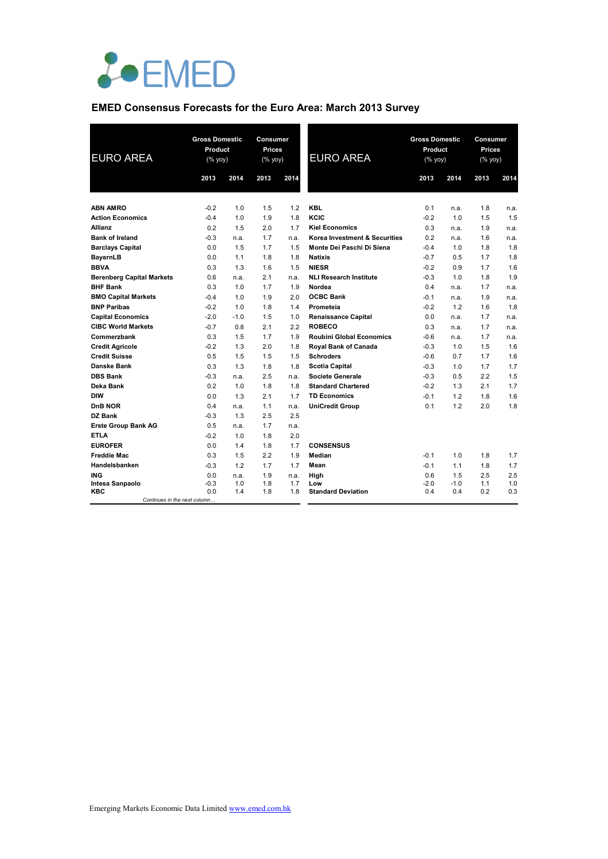

### **EMED Consensus Forecasts for the Euro Area: March 2013 Survey**

| <b>EURO AREA</b>                 | <b>Gross Domestic</b><br>Product<br>(% yoy) |            | Consumer<br>Prices<br>$(% \mathsf{Y}^{\prime }\mathsf{Y}^{\prime }\mathsf{Y}^{\prime })$ |            | <b>EURO AREA</b>                 | <b>Gross Domestic</b><br>Product<br>(% yoy) |               | <b>Consumer</b><br>Prices<br>$(% \mathsf{Y}^{\prime }\mathsf{Y}^{\prime }\mathsf{Y}^{\prime })$ |            |
|----------------------------------|---------------------------------------------|------------|------------------------------------------------------------------------------------------|------------|----------------------------------|---------------------------------------------|---------------|-------------------------------------------------------------------------------------------------|------------|
|                                  | 2013                                        | 2014       | 2013                                                                                     | 2014       |                                  | 2013                                        | 2014          | 2013                                                                                            | 2014       |
| <b>ABN AMRO</b>                  | $-0.2$                                      | 1.0        | 1.5                                                                                      | 1.2        | <b>KBL</b>                       | 0.1                                         | n.a.          | 1.8                                                                                             | n.a.       |
| <b>Action Economics</b>          | $-0.4$                                      | 1.0        | 1.9                                                                                      | 1.8        | KCIC                             | $-0.2$                                      | 1.0           | 1.5                                                                                             | 1.5        |
| Allianz                          | 0.2                                         | 1.5        | 2.0                                                                                      | 1.7        | <b>Kiel Economics</b>            | 0.3                                         | n.a.          | 1.9                                                                                             | n.a.       |
| <b>Bank of Ireland</b>           | $-0.3$                                      | n.a.       | 1.7                                                                                      | n.a.       | Korea Investment & Securities    | 0.2                                         | n.a.          | 1.6                                                                                             | n.a.       |
| <b>Barclays Capital</b>          | 0.0                                         | 1.5        | 1.7                                                                                      | 1.5        | Monte Dei Paschi Di Siena        | $-0.4$                                      | 1.0           | 1.8                                                                                             | 1.8        |
| <b>BayernLB</b>                  | 0.0                                         | 1.1        | 1.8                                                                                      | 1.8        | <b>Natixis</b>                   | $-0.7$                                      | 0.5           | 1.7                                                                                             | 1.8        |
| <b>BBVA</b>                      | 0.3                                         | 1.3        | 1.6                                                                                      | 1.5        | <b>NIESR</b>                     | $-0.2$                                      | 0.9           | 1.7                                                                                             | 1.6        |
| <b>Berenberg Capital Markets</b> | 0.6                                         | n.a.       | 2.1                                                                                      | n.a.       | <b>NLI Research Institute</b>    | $-0.3$                                      | 1.0           | 1.8                                                                                             | 1.9        |
| <b>BHF Bank</b>                  | 0.3                                         | 1.0        | 1.7                                                                                      | 1.9        | Nordea                           | 0.4                                         | n.a.          | 1.7                                                                                             | n.a.       |
| <b>BMO Capital Markets</b>       | $-0.4$                                      | 1.0        | 1.9                                                                                      | 2.0        | <b>OCBC Bank</b>                 | $-0.1$                                      | n.a.          | 1.9                                                                                             | n.a.       |
| <b>BNP Paribas</b>               | $-0.2$                                      | 1.0        | 1.8                                                                                      | 1.4        | Prometeia                        | $-0.2$                                      | 1.2           | 1.6                                                                                             | 1.8        |
| <b>Capital Economics</b>         | $-2.0$                                      | $-1.0$     | 1.5                                                                                      | 1.0        | <b>Renaissance Capital</b>       | 0.0                                         | n.a.          | 1.7                                                                                             | n.a.       |
| <b>CIBC World Markets</b>        | $-0.7$                                      | 0.8        | 2.1                                                                                      | 2.2        | <b>ROBECO</b>                    | 0.3                                         | n.a.          | 1.7                                                                                             | n.a.       |
| Commerzbank                      | 0.3                                         | 1.5        | 1.7                                                                                      | 1.9        | <b>Roubini Global Economics</b>  | $-0.6$                                      | n.a.          | 1.7                                                                                             | n.a.       |
| <b>Credit Agricole</b>           | $-0.2$                                      | 1.3        | 2.0                                                                                      | 1.8        | Royal Bank of Canada             | $-0.3$                                      | 1.0           | 1.5                                                                                             | 1.6        |
| <b>Credit Suisse</b>             | 0.5                                         | 1.5        | 1.5                                                                                      | 1.5        | <b>Schroders</b>                 | $-0.6$                                      | 0.7           | 1.7                                                                                             | 1.6        |
| <b>Danske Bank</b>               | 0.3                                         | 1.3        | 1.8                                                                                      | 1.8        | <b>Scotia Capital</b>            | $-0.3$                                      | 1.0           | 1.7                                                                                             | 1.7        |
| <b>DBS Bank</b>                  | $-0.3$                                      | n.a.       | 2.5                                                                                      | n.a.       | <b>Societe Generale</b>          | $-0.3$                                      | 0.5           | 2.2                                                                                             | 1.5        |
| Deka Bank                        | 0.2                                         | 1.0        | 1.8                                                                                      | 1.8        | <b>Standard Chartered</b>        | $-0.2$                                      | 1.3           | 2.1                                                                                             | 1.7        |
| <b>DIW</b>                       | 0.0                                         | 1.3        | 2.1                                                                                      | 1.7        | <b>TD Economics</b>              | $-0.1$                                      | 1.2           | 1.8                                                                                             | 1.6        |
| DnB NOR                          | 0.4                                         | n.a.       | 1.1                                                                                      | n.a.       | <b>UniCredit Group</b>           | 0.1                                         | 1.2           | 2.0                                                                                             | 1.8        |
| DZ Bank                          | $-0.3$                                      | 1.3        | 2.5                                                                                      | 2.5        |                                  |                                             |               |                                                                                                 |            |
| <b>Erste Group Bank AG</b>       | 0.5                                         | n.a.       | 1.7                                                                                      | n.a.       |                                  |                                             |               |                                                                                                 |            |
| <b>ETLA</b>                      | $-0.2$                                      | 1.0        | 1.8                                                                                      | 2.0        |                                  |                                             |               |                                                                                                 |            |
| <b>EUROFER</b>                   | 0.0                                         | 1.4        | 1.8                                                                                      | 1.7        | <b>CONSENSUS</b>                 |                                             |               |                                                                                                 |            |
| <b>Freddie Mac</b>               | 0.3                                         | 1.5        | 2.2                                                                                      | 1.9        | Median                           | $-0.1$                                      | 1.0           | 1.8                                                                                             | 1.7        |
| Handelsbanken                    | $-0.3$                                      | 1.2        | 1.7                                                                                      | 1.7        | Mean                             | $-0.1$                                      | 1.1           | 1.8                                                                                             | 1.7        |
| <b>ING</b>                       | 0.0                                         | n.a.       | 1.9                                                                                      | n.a.       | High                             | 0.6                                         | 1.5           | 2.5                                                                                             | 2.5        |
| Intesa Sanpaolo<br>KBC           | $-0.3$<br>0.0                               | 1.0<br>1.4 | 1.8<br>1.8                                                                               | 1.7<br>1.8 | Low<br><b>Standard Deviation</b> | $-2.0$<br>0.4                               | $-1.0$<br>0.4 | 1.1<br>0.2                                                                                      | 1.0<br>0.3 |
| Continues in the next column     |                                             |            |                                                                                          |            |                                  |                                             |               |                                                                                                 |            |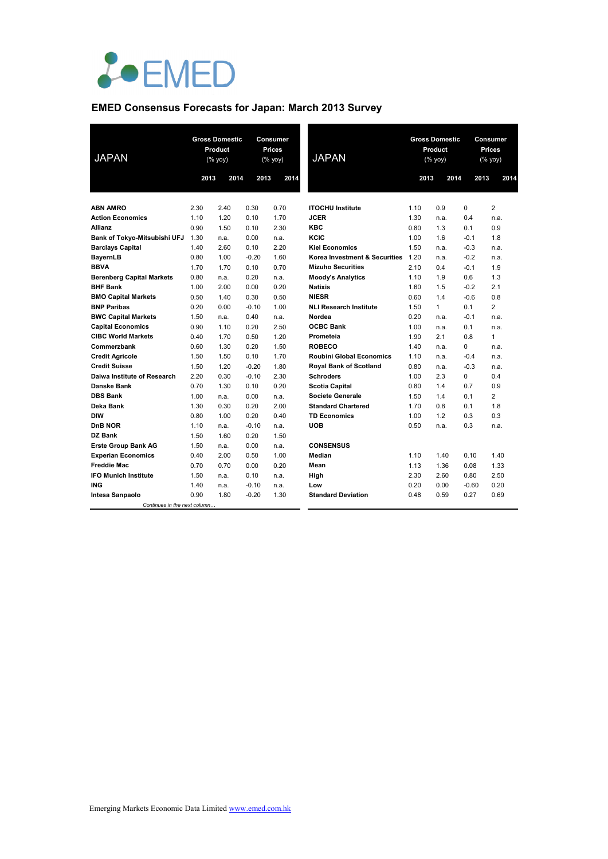

# **EMED Consensus Forecasts for Japan: March 2013 Survey**

| <b>JAPAN</b>                     | <b>Gross Domestic</b><br>Product<br>(% yoy) |      |         | <b>Consumer</b><br>Prices<br>(% yoy) | <b>JAPAN</b>                    |      | <b>Gross Domestic</b><br>Product<br>(% yoy) | <b>Consumer</b><br><b>Prices</b><br>(% yoy) |                |
|----------------------------------|---------------------------------------------|------|---------|--------------------------------------|---------------------------------|------|---------------------------------------------|---------------------------------------------|----------------|
|                                  | 2013                                        | 2014 | 2013    | 2014                                 |                                 | 2013 | 2014                                        | 2013                                        | 2014           |
|                                  |                                             |      |         |                                      |                                 |      |                                             |                                             |                |
| <b>ABN AMRO</b>                  | 2.30                                        | 2.40 | 0.30    | 0.70                                 | <b>ITOCHU</b> Institute         | 1.10 | 0.9                                         | 0                                           | $\overline{2}$ |
| <b>Action Economics</b>          | 1.10                                        | 1.20 | 0.10    | 1.70                                 | <b>JCER</b>                     | 1.30 | n.a.                                        | 0.4                                         | n.a.           |
| <b>Allianz</b>                   | 0.90                                        | 1.50 | 0.10    | 2.30                                 | <b>KBC</b>                      | 0.80 | 1.3                                         | 0.1                                         | 0.9            |
| Bank of Tokyo-Mitsubishi UFJ     | 1.30                                        | n.a. | 0.00    | n.a.                                 | KCIC                            | 1.00 | 1.6                                         | $-0.1$                                      | 1.8            |
| <b>Barclays Capital</b>          | 1.40                                        | 2.60 | 0.10    | 2.20                                 | <b>Kiel Economics</b>           | 1.50 | n.a.                                        | $-0.3$                                      | n.a.           |
| <b>BayernLB</b>                  | 0.80                                        | 1.00 | $-0.20$ | 1.60                                 | Korea Investment & Securities   | 1.20 | n.a.                                        | $-0.2$                                      | n.a.           |
| <b>BBVA</b>                      | 1.70                                        | 1.70 | 0.10    | 0.70                                 | <b>Mizuho Securities</b>        | 2.10 | 0.4                                         | $-0.1$                                      | 1.9            |
| <b>Berenberg Capital Markets</b> | 0.80                                        | n.a. | 0.20    | n.a.                                 | <b>Moody's Analytics</b>        | 1.10 | 1.9                                         | 0.6                                         | 1.3            |
| <b>BHF Bank</b>                  | 1.00                                        | 2.00 | 0.00    | 0.20                                 | <b>Natixis</b>                  | 1.60 | 1.5                                         | $-0.2$                                      | 2.1            |
| <b>BMO Capital Markets</b>       | 0.50                                        | 1.40 | 0.30    | 0.50                                 | <b>NIESR</b>                    | 0.60 | 1.4                                         | $-0.6$                                      | 0.8            |
| <b>BNP Paribas</b>               | 0.20                                        | 0.00 | $-0.10$ | 1.00                                 | <b>NLI Research Institute</b>   | 1.50 | $\mathbf{1}$                                | 0.1                                         | $\overline{2}$ |
| <b>BWC Capital Markets</b>       | 1.50                                        | n.a. | 0.40    | n.a.                                 | Nordea                          | 0.20 | n.a.                                        | $-0.1$                                      | n.a.           |
| <b>Capital Economics</b>         | 0.90                                        | 1.10 | 0.20    | 2.50                                 | <b>OCBC Bank</b>                | 1.00 | n.a.                                        | 0.1                                         | n.a.           |
| <b>CIBC World Markets</b>        | 0.40                                        | 1.70 | 0.50    | 1.20                                 | Prometeia                       | 1.90 | 2.1                                         | 0.8                                         | $\mathbf{1}$   |
| Commerzbank                      | 0.60                                        | 1.30 | 0.20    | 1.50                                 | <b>ROBECO</b>                   | 1.40 | n.a.                                        | 0                                           | n.a.           |
| <b>Credit Agricole</b>           | 1.50                                        | 1.50 | 0.10    | 1.70                                 | <b>Roubini Global Economics</b> | 1.10 | n.a.                                        | $-0.4$                                      | n.a.           |
| <b>Credit Suisse</b>             | 1.50                                        | 1.20 | $-0.20$ | 1.80                                 | <b>Royal Bank of Scotland</b>   | 0.80 | n.a.                                        | $-0.3$                                      | n.a.           |
| Daiwa Institute of Research      | 2.20                                        | 0.30 | $-0.10$ | 2.30                                 | <b>Schroders</b>                | 1.00 | 2.3                                         | 0                                           | 0.4            |
| <b>Danske Bank</b>               | 0.70                                        | 1.30 | 0.10    | 0.20                                 | <b>Scotia Capital</b>           | 0.80 | 1.4                                         | 0.7                                         | 0.9            |
| <b>DBS Bank</b>                  | 1.00                                        | n.a. | 0.00    | n.a.                                 | Societe Generale                | 1.50 | 1.4                                         | 0.1                                         | $\overline{2}$ |
| Deka Bank                        | 1.30                                        | 0.30 | 0.20    | 2.00                                 | <b>Standard Chartered</b>       | 1.70 | 0.8                                         | 0.1                                         | 1.8            |
| <b>DIW</b>                       | 0.80                                        | 1.00 | 0.20    | 0.40                                 | <b>TD Economics</b>             | 1.00 | 1.2                                         | 0.3                                         | 0.3            |
| DnB NOR                          | 1.10                                        | n.a. | $-0.10$ | n.a.                                 | <b>UOB</b>                      | 0.50 | n.a.                                        | 0.3                                         | n.a.           |
| DZ Bank                          | 1.50                                        | 1.60 | 0.20    | 1.50                                 |                                 |      |                                             |                                             |                |
| <b>Erste Group Bank AG</b>       | 1.50                                        | n.a. | 0.00    | n.a.                                 | <b>CONSENSUS</b>                |      |                                             |                                             |                |
| <b>Experian Economics</b>        | 0.40                                        | 2.00 | 0.50    | 1.00                                 | Median                          | 1.10 | 1.40                                        | 0.10                                        | 1.40           |
| <b>Freddie Mac</b>               | 0.70                                        | 0.70 | 0.00    | 0.20                                 | Mean                            | 1.13 | 1.36                                        | 0.08                                        | 1.33           |
| <b>IFO Munich Institute</b>      | 1.50                                        | n.a. | 0.10    | n.a.                                 | High                            | 2.30 | 2.60                                        | 0.80                                        | 2.50           |
| <b>ING</b>                       | 1.40                                        | n.a. | $-0.10$ | n.a.                                 | Low                             | 0.20 | 0.00                                        | $-0.60$                                     | 0.20           |
| Intesa Sanpaolo                  | 0.90                                        | 1.80 | $-0.20$ | 1.30                                 | <b>Standard Deviation</b>       | 0.48 | 0.59                                        | 0.27                                        | 0.69           |
| Continues in the next column     |                                             |      |         |                                      |                                 |      |                                             |                                             |                |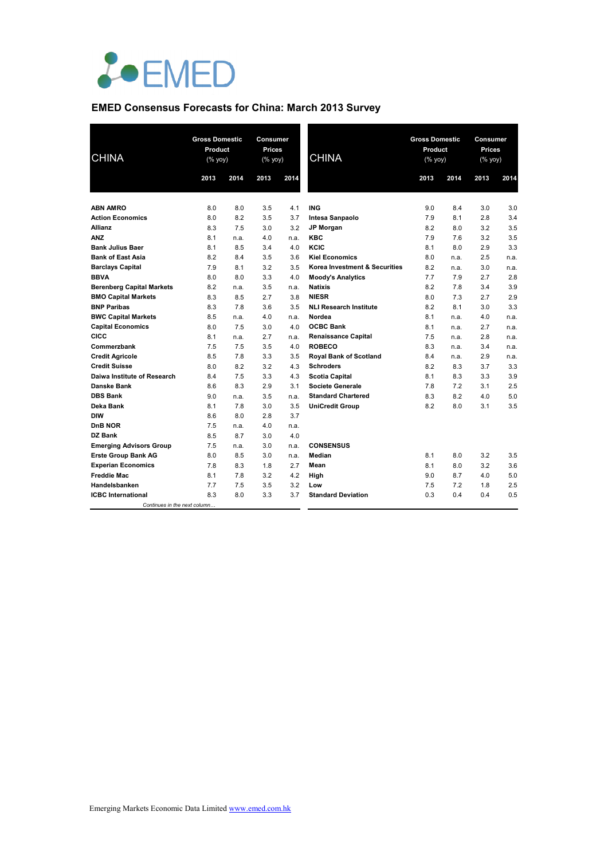

### **EMED Consensus Forecasts for China: March 2013 Survey**

| <b>CHINA</b>                                        | <b>Gross Domestic</b><br>Product<br>(% yoy) |            | <b>Consumer</b><br>Prices<br>(% yoy) |            | <b>CHINA</b>                  | <b>Gross Domestic</b><br>Product<br>(% yoy) |              | Consumer<br>Prices<br>(% yoy) |              |
|-----------------------------------------------------|---------------------------------------------|------------|--------------------------------------|------------|-------------------------------|---------------------------------------------|--------------|-------------------------------|--------------|
|                                                     | 2013                                        | 2014       | 2013                                 | 2014       |                               | 2013                                        | 2014         | 2013                          | 2014         |
|                                                     |                                             |            |                                      |            |                               |                                             |              |                               |              |
| <b>ABN AMRO</b>                                     | 8.0                                         | 8.0        | 3.5                                  | 4.1        | <b>ING</b>                    | 9.0                                         | 8.4          | 3.0                           | 3.0          |
| <b>Action Economics</b>                             | 8.0                                         | 8.2        | 3.5                                  | 3.7        | Intesa Sanpaolo               | 7.9                                         | 8.1          | 2.8                           | 3.4          |
| <b>Allianz</b>                                      | 8.3                                         | 7.5        | 3.0                                  | 3.2        | <b>JP Morgan</b>              | 8.2                                         | 8.0          | 3.2                           | 3.5          |
| <b>ANZ</b>                                          | 8.1                                         | n.a.       | 4.0                                  | n.a.       | <b>KBC</b><br>KCIC            | 7.9                                         | 7.6          | 3.2                           | 3.5<br>3.3   |
| <b>Bank Julius Baer</b><br><b>Bank of East Asia</b> | 8.1<br>8.2                                  | 8.5<br>8.4 | 3.4<br>3.5                           | 4.0<br>3.6 | <b>Kiel Economics</b>         | 8.1<br>8.0                                  | 8.0          | 2.9<br>2.5                    |              |
|                                                     | 7.9                                         | 8.1        | 3.2                                  | 3.5        | Korea Investment & Securities | 8.2                                         | n.a.<br>n.a. | 3.0                           | n.a.<br>n.a. |
| <b>Barclays Capital</b><br><b>BBVA</b>              | 8.0                                         | 8.0        | 3.3                                  | 4.0        | <b>Moody's Analytics</b>      | 7.7                                         | 7.9          | 2.7                           | 2.8          |
| <b>Berenberg Capital Markets</b>                    | 8.2                                         | n.a.       | 3.5                                  | n.a.       | <b>Natixis</b>                | 8.2                                         | 7.8          | 3.4                           | 3.9          |
| <b>BMO Capital Markets</b>                          | 8.3                                         | 8.5        | 2.7                                  | 3.8        | <b>NIESR</b>                  | 8.0                                         | 7.3          | 2.7                           | 2.9          |
| <b>BNP Paribas</b>                                  | 8.3                                         | 7.8        | 3.6                                  | 3.5        | <b>NLI Research Institute</b> | 8.2                                         | 8.1          | 3.0                           | 3.3          |
| <b>BWC Capital Markets</b>                          | 8.5                                         | n.a.       | 4.0                                  | n.a.       | Nordea                        | 8.1                                         | n.a.         | 4.0                           | n.a.         |
| <b>Capital Economics</b>                            | 8.0                                         | 7.5        | 3.0                                  | 4.0        | <b>OCBC Bank</b>              | 8.1                                         | n.a.         | 2.7                           | n.a.         |
| CICC                                                | 8.1                                         | n.a.       | 2.7                                  | n.a.       | <b>Renaissance Capital</b>    | 7.5                                         | n.a.         | 2.8                           | n.a.         |
| Commerzbank                                         | 7.5                                         | 7.5        | 3.5                                  | 4.0        | <b>ROBECO</b>                 | 8.3                                         | n.a.         | 3.4                           | n.a.         |
| <b>Credit Agricole</b>                              | 8.5                                         | 7.8        | 3.3                                  | 3.5        | <b>Royal Bank of Scotland</b> | 8.4                                         | n.a.         | 2.9                           | n.a.         |
| <b>Credit Suisse</b>                                | 8.0                                         | 8.2        | 3.2                                  | 4.3        | <b>Schroders</b>              | 8.2                                         | 8.3          | 3.7                           | 3.3          |
| Daiwa Institute of Research                         | 8.4                                         | 7.5        | 3.3                                  | 4.3        | <b>Scotia Capital</b>         | 8.1                                         | 8.3          | 3.3                           | 3.9          |
| Danske Bank                                         | 8.6                                         | 8.3        | 2.9                                  | 3.1        | <b>Societe Generale</b>       | 7.8                                         | 7.2          | 3.1                           | 2.5          |
| <b>DBS Bank</b>                                     | 9.0                                         | n.a.       | 3.5                                  | n.a.       | <b>Standard Chartered</b>     | 8.3                                         | 8.2          | 4.0                           | 5.0          |
| Deka Bank                                           | 8.1                                         | 7.8        | 3.0                                  | 3.5        | <b>UniCredit Group</b>        | 8.2                                         | 8.0          | 3.1                           | 3.5          |
| <b>DIW</b>                                          | 8.6                                         | 8.0        | 2.8                                  | 3.7        |                               |                                             |              |                               |              |
| DnB NOR                                             | 7.5                                         | n.a.       | 4.0                                  | n.a.       |                               |                                             |              |                               |              |
| DZ Bank                                             | 8.5                                         | 8.7        | 3.0                                  | 4.0        |                               |                                             |              |                               |              |
| <b>Emerging Advisors Group</b>                      | 7.5                                         | n.a.       | 3.0                                  | n.a.       | <b>CONSENSUS</b>              |                                             |              |                               |              |
| <b>Erste Group Bank AG</b>                          | 8.0                                         | 8.5        | 3.0                                  | n.a.       | Median                        | 8.1                                         | 8.0          | 3.2                           | 3.5          |
| <b>Experian Economics</b>                           | 7.8                                         | 8.3        | 1.8                                  | 2.7        | Mean                          | 8.1                                         | 8.0          | 3.2                           | 3.6          |
| <b>Freddie Mac</b>                                  | 8.1                                         | 7.8        | 3.2                                  | 4.2        | High                          | 9.0                                         | 8.7          | 4.0                           | 5.0          |
| Handelsbanken                                       | 7.7                                         | 7.5        | 3.5                                  | 3.2        | Low                           | 7.5                                         | 7.2          | 1.8                           | 2.5          |
| <b>ICBC</b> International                           | 8.3                                         | 8.0        | 3.3                                  | 3.7        | <b>Standard Deviation</b>     | 0.3                                         | 0.4          | 0.4                           | 0.5          |
| Continues in the next column                        |                                             |            |                                      |            |                               |                                             |              |                               |              |